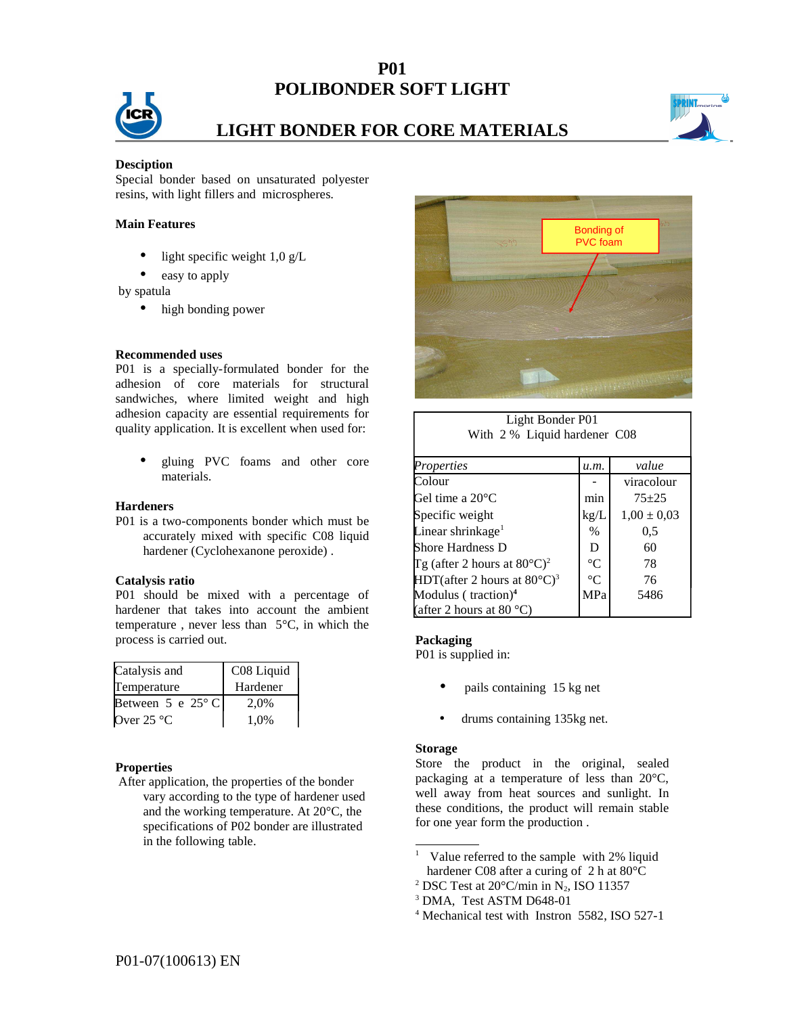# **P01 POLIBONDER SOFT LIGHT**



# **LIGHT BONDER FOR CORE MATERIALS**



# **Desciption**

Special bonder based on unsaturated polyester resins, with light fillers and microspheres.

#### **Main Features**

- light specific weight  $1,0$  g/L
- easy to apply

by spatula

• high bonding power

#### **Recommended uses**

P01 is a specially-formulated bonder for the adhesion of core materials for structural sandwiches, where limited weight and high adhesion capacity are essential requirements for quality application. It is excellent when used for:

• gluing PVC foams and other core materials.

#### **Hardeners**

P01 is a two-components bonder which must be accurately mixed with specific C08 liquid hardener (Cyclohexanone peroxide) .

#### **Catalysis ratio**

P01 should be mixed with a percentage of hardener that takes into account the ambient temperature , never less than 5°C, in which the process is carried out.

| Catalysis and               | C08 Liquid |  |
|-----------------------------|------------|--|
| Temperature                 | Hardener   |  |
| Between 5 e 25 $^{\circ}$ C | 2,0%       |  |
| Over 25 $^{\circ}$ C        | 1.0%       |  |

# **Properties**

 After application, the properties of the bonder vary according to the type of hardener used and the working temperature. At 20°C, the specifications of P02 bonder are illustrated in the following table.



| Light Bonder P01                                  |                 |                 |  |
|---------------------------------------------------|-----------------|-----------------|--|
| With 2 % Liquid hardener C08                      |                 |                 |  |
|                                                   |                 |                 |  |
| Properties                                        | u.m.            | value           |  |
| Colour                                            |                 | viracolour      |  |
| Gel time a 20°C                                   | min             | $75 + 25$       |  |
| Specific weight                                   | kg/L            | $1.00 \pm 0.03$ |  |
| Linear shrinkage <sup>1</sup>                     | $\frac{0}{0}$   | 0,5             |  |
| <b>Shore Hardness D</b>                           | D               | 60              |  |
| Tg (after 2 hours at $80^{\circ}$ C) <sup>2</sup> | $^{\circ}C$     | 78              |  |
| HDT(after 2 hours at $80^{\circ}$ C) <sup>3</sup> | $\rm ^{\circ}C$ | 76              |  |
| Modulus ( $\text{traction}$ <sup>4</sup>          | MPa             | 5486            |  |
| (after 2 hours at 80 $^{\circ}$ C)                |                 |                 |  |

# **Packaging**

P01 is supplied in:

- pails containing 15 kg net
- drums containing 135kg net.

#### **Storage**

Store the product in the original, sealed packaging at a temperature of less than 20°C, well away from heat sources and sunlight. In these conditions, the product will remain stable for one year form the production .

<sup>1</sup> Value referred to the sample with 2% liquid hardener C08 after a curing of 2 h at 80°C

<sup>&</sup>lt;sup>2</sup> DSC Test at  $20^{\circ}$ C/min in N<sub>2</sub>, ISO 11357

<sup>3</sup> DMA, Test ASTM D648-01

<sup>4</sup> Mechanical test with Instron 5582, ISO 527-1